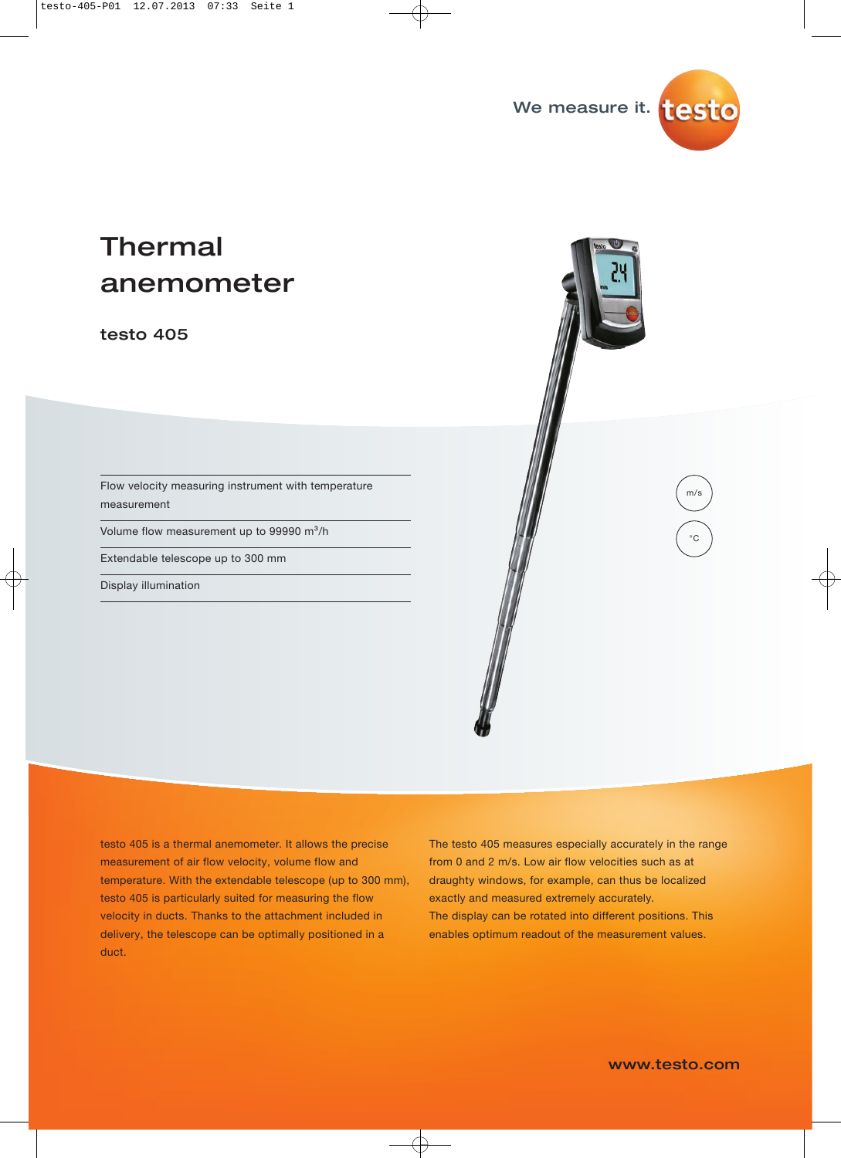

# Thermal anemometer

testo 405

Flow velocity measuring instrument with temperature measurement

Volume flow measurement up to 99990 m<sup>3</sup>/h

Extendable telescope up to 300 mm

Display illumination

testo 405 is a thermal anemometer. It allows the precise measurement of air flow velocity, volume flow and temperature. With the extendable telescope (up to 300 mm), testo 405 is particularly suited for measuring the flow velocity in ducts. Thanks to the attachment included in delivery, the telescope can be optimally positioned in a duct.

The testo 405 measures especially accurately in the range from 0 and 2 m/s. Low air flow velocities such as at draughty windows, for example, can thus be localized exactly and measured extremely accurately. The display can be rotated into different positions. This enables optimum readout of the measurement values.

www.testo.com

m/s

 $^{\circ}C$